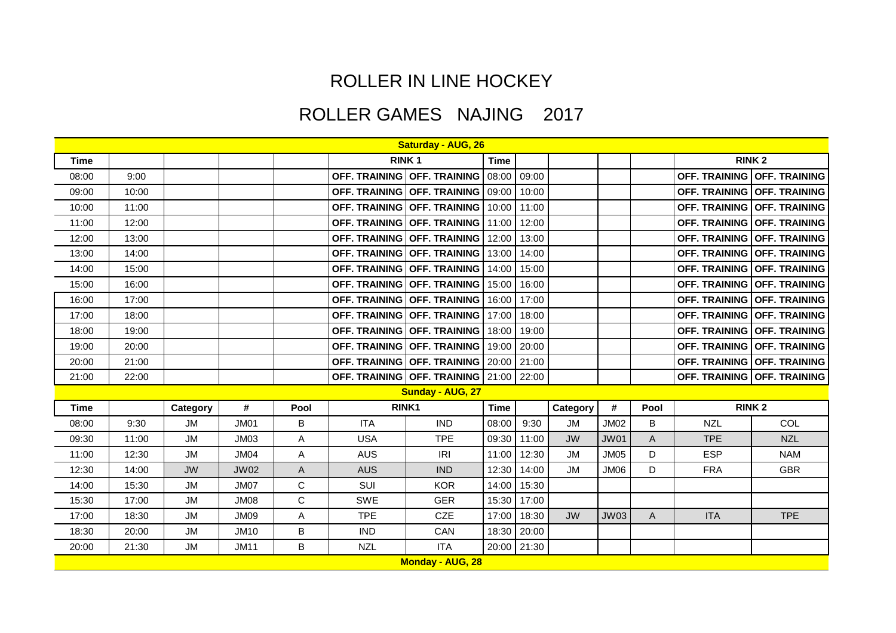## ROLLER IN LINE HOCKEY

## ROLLER GAMES NAJING 2017

|             | <b>Saturday - AUG, 26</b> |           |             |             |            |                                       |             |             |               |             |              |            |                                    |
|-------------|---------------------------|-----------|-------------|-------------|------------|---------------------------------------|-------------|-------------|---------------|-------------|--------------|------------|------------------------------------|
| <b>Time</b> |                           |           |             |             |            | <b>RINK1</b>                          | <b>Time</b> |             |               |             |              |            | <b>RINK2</b>                       |
| 08:00       | 9:00                      |           |             |             |            | OFF. TRAINING OFF. TRAINING           | 08:00       | 09:00       |               |             |              |            | OFF. TRAINING OFF. TRAINING        |
| 09:00       | 10:00                     |           |             |             |            | OFF. TRAINING OFF. TRAINING 09:00     |             | 10:00       |               |             |              |            | <b>OFF. TRAINING OFF. TRAINING</b> |
| 10:00       | 11:00                     |           |             |             |            | OFF. TRAINING OFF. TRAINING           | 10:00       | 11:00       |               |             |              |            | OFF. TRAINING OFF. TRAINING        |
| 11:00       | 12:00                     |           |             |             |            | OFF. TRAINING OFF. TRAINING           | 11:00       | 12:00       |               |             |              |            | OFF. TRAINING OFF. TRAINING        |
| 12:00       | 13:00                     |           |             |             |            | OFF. TRAINING OFF. TRAINING           | 12:00       | 13:00       |               |             |              |            | OFF. TRAINING OFF. TRAINING        |
| 13:00       | 14:00                     |           |             |             |            | OFF. TRAINING OFF. TRAINING           | 13:00       | 14:00       |               |             |              |            | OFF. TRAINING OFF. TRAINING        |
| 14:00       | 15:00                     |           |             |             |            | OFF. TRAINING   OFF. TRAINING         | 14:00       | 15:00       |               |             |              |            | OFF. TRAINING OFF. TRAINING        |
| 15:00       | 16:00                     |           |             |             |            | OFF. TRAINING   OFF. TRAINING         | 15:00       | 16:00       |               |             |              |            | OFF. TRAINING OFF. TRAINING        |
| 16:00       | 17:00                     |           |             |             |            | OFF. TRAINING OFF. TRAINING           | 16:00       | 17:00       |               |             |              |            | OFF. TRAINING OFF. TRAINING        |
| 17:00       | 18:00                     |           |             |             |            | OFF. TRAINING   OFF. TRAINING         | 17:00       | 18:00       |               |             |              |            | OFF. TRAINING OFF. TRAINING        |
| 18:00       | 19:00                     |           |             |             |            | OFF. TRAINING OFF. TRAINING           | 18:00       | 19:00       |               |             |              |            | OFF. TRAINING OFF. TRAINING        |
| 19:00       | 20:00                     |           |             |             |            | OFF. TRAINING OFF. TRAINING           | 19:00       | 20:00       |               |             |              |            | OFF. TRAINING OFF. TRAINING        |
| 20:00       | 21:00                     |           |             |             |            | OFF. TRAINING   OFF. TRAINING   20:00 |             | 21:00       |               |             |              |            | OFF. TRAINING OFF. TRAINING        |
| 21:00       | 22:00                     |           |             |             |            | OFF. TRAINING OFF. TRAINING 21:00     |             | 22:00       |               |             |              |            | OFF. TRAINING OFF. TRAINING        |
|             |                           |           |             |             |            | Sunday - AUG, 27                      |             |             |               |             |              |            |                                    |
| <b>Time</b> |                           | Category  | #           | Pool        |            | RINK1                                 | <b>Time</b> |             | Category      | #           | Pool         |            | <b>RINK2</b>                       |
| 08:00       | 9:30                      | <b>JM</b> | <b>JM01</b> | B           | <b>ITA</b> | <b>IND</b>                            | 08:00       | 9:30        | <b>JM</b>     | <b>JM02</b> | B            | <b>NZL</b> | COL                                |
| 09:30       | 11:00                     | <b>JM</b> | <b>JM03</b> | Α           | <b>USA</b> | <b>TPE</b>                            | 09:30       | 11:00       | <b>JW</b>     | <b>JW01</b> | A            | <b>TPE</b> | <b>NZL</b>                         |
| 11:00       | 12:30                     | <b>JM</b> | <b>JM04</b> | Α           | AUS        | IRI                                   | 11:00       | 12:30       | <b>JM</b>     | <b>JM05</b> | D            | <b>ESP</b> | <b>NAM</b>                         |
| 12:30       | 14:00                     | <b>JW</b> | <b>JW02</b> | A           | <b>AUS</b> | <b>IND</b>                            | 12:30       | 14:00       | $\mathsf{JM}$ | JM06        | D            | <b>FRA</b> | <b>GBR</b>                         |
| 14:00       | 15:30                     | <b>JM</b> | <b>JM07</b> | $\mathsf C$ | SUI        | <b>KOR</b>                            | 14:00       | 15:30       |               |             |              |            |                                    |
| 15:30       | 17:00                     | <b>JM</b> | <b>JM08</b> | $\mathsf C$ | <b>SWE</b> | <b>GER</b>                            | 15:30       | 17:00       |               |             |              |            |                                    |
| 17:00       | 18:30                     | <b>JM</b> | <b>JM09</b> | A           | <b>TPE</b> | <b>CZE</b>                            | 17:00       | 18:30       | <b>JW</b>     | <b>JW03</b> | $\mathsf{A}$ | <b>ITA</b> | <b>TPE</b>                         |
| 18:30       | 20:00                     | <b>JM</b> | <b>JM10</b> | B           | <b>IND</b> | CAN                                   | 18:30       | 20:00       |               |             |              |            |                                    |
| 20:00       | 21:30                     | <b>JM</b> | <b>JM11</b> | B           | <b>NZL</b> | <b>ITA</b>                            |             | 20:00 21:30 |               |             |              |            |                                    |
|             |                           |           |             |             |            | <b>Monday - AUG, 28</b>               |             |             |               |             |              |            |                                    |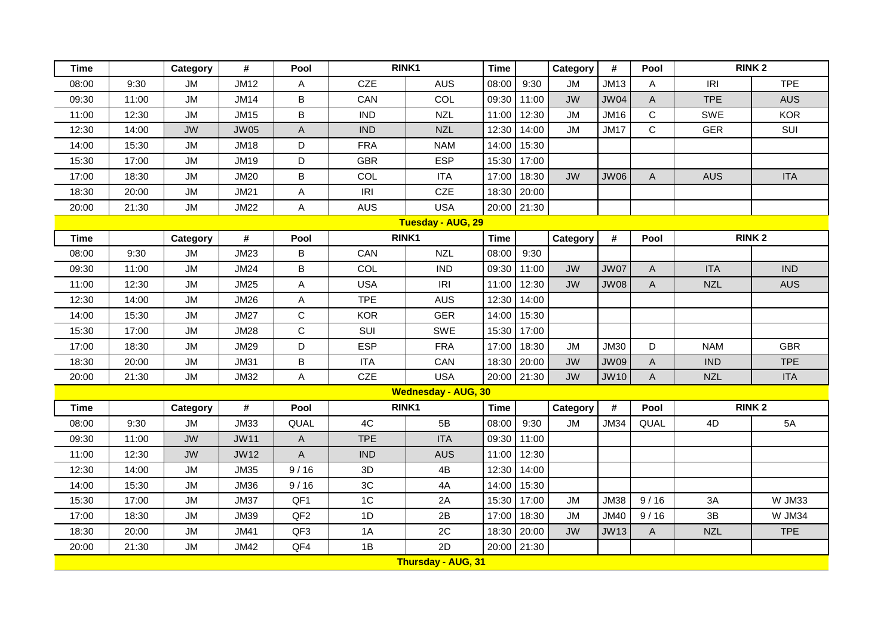| <b>Time</b> |       | Category  | #           | Pool            |            | RINK1                      | <b>Time</b> |       | Category  | $\pmb{\#}$  | Pool           |              | <b>RINK2</b>  |
|-------------|-------|-----------|-------------|-----------------|------------|----------------------------|-------------|-------|-----------|-------------|----------------|--------------|---------------|
| 08:00       | 9:30  | <b>JM</b> | <b>JM12</b> | A               | <b>CZE</b> | <b>AUS</b>                 | 08:00       | 9:30  | <b>JM</b> | <b>JM13</b> | A              | IRI          | <b>TPE</b>    |
| 09:30       | 11:00 | <b>JM</b> | <b>JM14</b> | B               | CAN        | COL                        | 09:30       | 11:00 | <b>JW</b> | <b>JW04</b> | A              | <b>TPE</b>   | <b>AUS</b>    |
| 11:00       | 12:30 | <b>JM</b> | <b>JM15</b> | B               | <b>IND</b> | <b>NZL</b>                 | 11:00       | 12:30 | <b>JM</b> | <b>JM16</b> | $\mathsf C$    | SWE          | <b>KOR</b>    |
| 12:30       | 14:00 | <b>JW</b> | <b>JW05</b> | A               | <b>IND</b> | <b>NZL</b>                 | 12:30       | 14:00 | <b>JM</b> | <b>JM17</b> | C              | <b>GER</b>   | SUI           |
| 14:00       | 15:30 | <b>JM</b> | <b>JM18</b> | D               | <b>FRA</b> | <b>NAM</b>                 | 14:00       | 15:30 |           |             |                |              |               |
| 15:30       | 17:00 | <b>JM</b> | <b>JM19</b> | D               | <b>GBR</b> | <b>ESP</b>                 | 15:30       | 17:00 |           |             |                |              |               |
| 17:00       | 18:30 | <b>JM</b> | <b>JM20</b> | B               | COL        | <b>ITA</b>                 | 17:00       | 18:30 | <b>JW</b> | <b>JW06</b> | A              | <b>AUS</b>   | <b>ITA</b>    |
| 18:30       | 20:00 | <b>JM</b> | <b>JM21</b> | A               | IRI        | CZE                        | 18:30       | 20:00 |           |             |                |              |               |
| 20:00       | 21:30 | <b>JM</b> | <b>JM22</b> | Α               | <b>AUS</b> | <b>USA</b>                 | 20:00       | 21:30 |           |             |                |              |               |
|             |       |           |             |                 |            | <b>Tuesday - AUG, 29</b>   |             |       |           |             |                |              |               |
| <b>Time</b> |       | Category  | #           | Pool            |            | RINK1                      | <b>Time</b> |       | Category  | #           | Pool           |              | <b>RINK2</b>  |
| 08:00       | 9:30  | <b>JM</b> | <b>JM23</b> | B               | CAN        | <b>NZL</b>                 | 08:00       | 9:30  |           |             |                |              |               |
| 09:30       | 11:00 | <b>JM</b> | <b>JM24</b> | B               | COL        | <b>IND</b>                 | 09:30       | 11:00 | <b>JW</b> | <b>JW07</b> | $\overline{A}$ | <b>ITA</b>   | <b>IND</b>    |
| 11:00       | 12:30 | <b>JM</b> | <b>JM25</b> | A               | <b>USA</b> | IRI                        | 11:00       | 12:30 | <b>JW</b> | <b>JW08</b> | $\mathsf A$    | <b>NZL</b>   | <b>AUS</b>    |
| 12:30       | 14:00 | <b>JM</b> | <b>JM26</b> | Α               | <b>TPE</b> | <b>AUS</b>                 | 12:30       | 14:00 |           |             |                |              |               |
| 14:00       | 15:30 | <b>JM</b> | <b>JM27</b> | C               | <b>KOR</b> | <b>GER</b>                 | 14:00       | 15:30 |           |             |                |              |               |
| 15:30       | 17:00 | <b>JM</b> | <b>JM28</b> | C               | SUI        | SWE                        | 15:30       | 17:00 |           |             |                |              |               |
| 17:00       | 18:30 | <b>JM</b> | <b>JM29</b> | D               | <b>ESP</b> | <b>FRA</b>                 | 17:00       | 18:30 | JM        | <b>JM30</b> | D              | <b>NAM</b>   | <b>GBR</b>    |
| 18:30       | 20:00 | <b>JM</b> | <b>JM31</b> | B               | <b>ITA</b> | CAN                        | 18:30       | 20:00 | <b>JW</b> | <b>JW09</b> | A              | <b>IND</b>   | <b>TPE</b>    |
| 20:00       | 21:30 | <b>JM</b> | <b>JM32</b> | Α               | CZE        | <b>USA</b>                 | 20:00       | 21:30 | <b>JW</b> | <b>JW10</b> | A              | <b>NZL</b>   | <b>ITA</b>    |
|             |       |           |             |                 |            | <b>Wednesday - AUG, 30</b> |             |       |           |             |                |              |               |
| <b>Time</b> |       | Category  | #           | Pool            |            | RINK1                      | <b>Time</b> |       | Category  | #           | Pool           | <b>RINK2</b> |               |
| 08:00       | 9:30  | <b>JM</b> | <b>JM33</b> | QUAL            | 4C         | 5B                         | 08:00       | 9:30  | <b>JM</b> | <b>JM34</b> | QUAL           | 4D           | 5A            |
| 09:30       | 11:00 | <b>JW</b> | <b>JW11</b> | A               | <b>TPE</b> | <b>ITA</b>                 | 09:30       | 11:00 |           |             |                |              |               |
| 11:00       | 12:30 | <b>JW</b> | <b>JW12</b> | A               | <b>IND</b> | <b>AUS</b>                 | 11:00       | 12:30 |           |             |                |              |               |
| 12:30       | 14:00 | <b>JM</b> | <b>JM35</b> | 9/16            | 3D         | 4B                         | 12:30       | 14:00 |           |             |                |              |               |
| 14:00       | 15:30 | <b>JM</b> | <b>JM36</b> | 9/16            | 3C         | 4A                         | 14:00       | 15:30 |           |             |                |              |               |
| 15:30       | 17:00 | <b>JM</b> | <b>JM37</b> | QF1             | 1C         | 2A                         | 15:30       | 17:00 | <b>JM</b> | <b>JM38</b> | 9/16           | 3A           | <b>W JM33</b> |
| 17:00       | 18:30 | <b>JM</b> | <b>JM39</b> | QF <sub>2</sub> | 1D         | 2B                         | 17:00       | 18:30 | <b>JM</b> | <b>JM40</b> | 9/16           | 3B           | <b>W JM34</b> |
| 18:30       | 20:00 | <b>JM</b> | <b>JM41</b> | QF3             | 1A         | 2C                         | 18:30       | 20:00 | <b>JW</b> | <b>JW13</b> | A              | <b>NZL</b>   | <b>TPE</b>    |
| 20:00       | 21:30 | <b>JM</b> | <b>JM42</b> | QF4             | 1B         | 2D                         | 20:00       | 21:30 |           |             |                |              |               |
|             |       |           |             |                 |            | Thursday - AUG, 31         |             |       |           |             |                |              |               |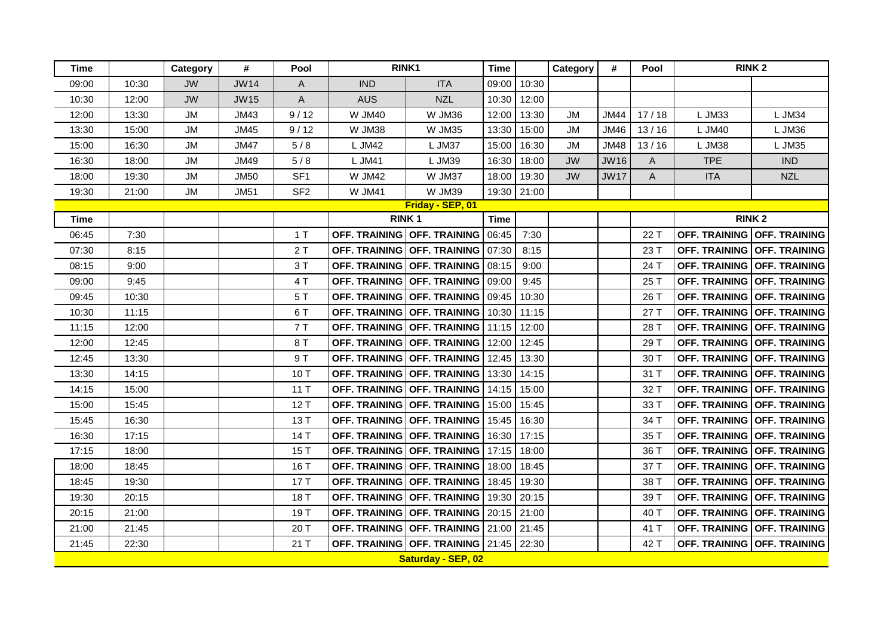| <b>Time</b> |       | Category  | #           | Pool            | RINK <sub>1</sub> |                                       | <b>Time</b> |       | Category  | #           | Pool  |                      | <b>RINK2</b>                |
|-------------|-------|-----------|-------------|-----------------|-------------------|---------------------------------------|-------------|-------|-----------|-------------|-------|----------------------|-----------------------------|
| 09:00       | 10:30 | <b>JW</b> | <b>JW14</b> | Α               | <b>IND</b>        | <b>ITA</b>                            | 09:00       | 10:30 |           |             |       |                      |                             |
| 10:30       | 12:00 | <b>JW</b> | <b>JW15</b> | A               | <b>AUS</b>        | <b>NZL</b>                            | 10:30       | 12:00 |           |             |       |                      |                             |
| 12:00       | 13:30 | <b>JM</b> | <b>JM43</b> | 9/12            | <b>W JM40</b>     | <b>W JM36</b>                         | 12:00       | 13:30 | JM        | <b>JM44</b> | 17/18 | L JM33               | L JM34                      |
| 13:30       | 15:00 | <b>JM</b> | <b>JM45</b> | 9/12            | <b>W JM38</b>     | <b>W JM35</b>                         | 13:30       | 15:00 | <b>JM</b> | <b>JM46</b> | 13/16 | L JM40               | L JM36                      |
| 15:00       | 16:30 | JM        | <b>JM47</b> | 5/8             | L JM42            | L JM37                                | 15:00       | 16:30 | <b>JM</b> | <b>JM48</b> | 13/16 | L JM38               | L JM35                      |
| 16:30       | 18:00 | <b>JM</b> | <b>JM49</b> | 5/8             | L JM41            | L JM39                                | 16:30       | 18:00 | <b>JW</b> | <b>JW16</b> | A     | <b>TPE</b>           | <b>IND</b>                  |
| 18:00       | 19:30 | <b>JM</b> | <b>JM50</b> | SF <sub>1</sub> | <b>W JM42</b>     | W JM37                                | 18:00       | 19:30 | <b>JW</b> | <b>JW17</b> | A     | <b>ITA</b>           | <b>NZL</b>                  |
| 19:30       | 21:00 | <b>JM</b> | <b>JM51</b> | SF <sub>2</sub> | <b>W JM41</b>     | <b>W JM39</b>                         | 19:30       | 21:00 |           |             |       |                      |                             |
|             |       |           |             |                 |                   | Friday - SEP, 01                      |             |       |           |             |       |                      |                             |
| Time        |       |           |             |                 |                   | <b>RINK1</b>                          | <b>Time</b> |       |           |             |       |                      | <b>RINK2</b>                |
| 06:45       | 7:30  |           |             | 1T              |                   | OFF. TRAINING OFF. TRAINING           | 06:45       | 7:30  |           |             | 22 T  |                      | OFF. TRAINING OFF. TRAINING |
| 07:30       | 8:15  |           |             | 2T              |                   | OFF. TRAINING OFF. TRAINING           | 07:30       | 8:15  |           |             | 23 T  |                      | OFF. TRAINING OFF. TRAINING |
| 08:15       | 9:00  |           |             | 3T              |                   | OFF. TRAINING OFF. TRAINING           | 08:15       | 9:00  |           |             | 24 T  |                      | OFF. TRAINING OFF. TRAINING |
| 09:00       | 9:45  |           |             | 4 T             |                   | OFF. TRAINING OFF. TRAINING           | 09:00       | 9:45  |           |             | 25 T  |                      | OFF. TRAINING OFF. TRAINING |
| 09:45       | 10:30 |           |             | 5T              |                   | OFF. TRAINING OFF. TRAINING           | 09:45       | 10:30 |           |             | 26 T  |                      | OFF. TRAINING OFF. TRAINING |
| 10:30       | 11:15 |           |             | 6T              |                   | OFF. TRAINING OFF. TRAINING           | 10:30       | 11:15 |           |             | 27 T  | <b>OFF. TRAINING</b> | <b>OFF. TRAINING</b>        |
| 11:15       | 12:00 |           |             | 7T              |                   | OFF. TRAINING OFF. TRAINING           | 11:15       | 12:00 |           |             | 28 T  |                      | OFF. TRAINING OFF. TRAINING |
| 12:00       | 12:45 |           |             | 8 T             |                   | OFF. TRAINING OFF. TRAINING           | 12:00       | 12:45 |           |             | 29 T  |                      | OFF. TRAINING OFF. TRAINING |
| 12:45       | 13:30 |           |             | 9 T             |                   | OFF. TRAINING OFF. TRAINING           | 12:45       | 13:30 |           |             | 30 T  | <b>OFF. TRAINING</b> | <b>OFF. TRAINING</b>        |
| 13:30       | 14:15 |           |             | 10T             |                   | OFF. TRAINING OFF. TRAINING           | 13:30       | 14:15 |           |             | 31 T  | <b>OFF. TRAINING</b> | <b>OFF. TRAINING</b>        |
| 14:15       | 15:00 |           |             | 11T             |                   | OFF. TRAINING OFF. TRAINING           | 14:15       | 15:00 |           |             | 32 T  |                      | OFF. TRAINING OFF. TRAINING |
| 15:00       | 15:45 |           |             | 12T             |                   | OFF. TRAINING OFF. TRAINING           | 15:00       | 15:45 |           |             | 33 T  |                      | OFF. TRAINING OFF. TRAINING |
| 15:45       | 16:30 |           |             | 13 T            |                   | OFF. TRAINING OFF. TRAINING           | 15:45       | 16:30 |           |             | 34 T  | <b>OFF. TRAINING</b> | <b>OFF. TRAINING</b>        |
| 16:30       | 17:15 |           |             | 14 T            |                   | OFF. TRAINING OFF. TRAINING           | 16:30       | 17:15 |           |             | 35 T  |                      | OFF. TRAINING OFF. TRAINING |
| 17:15       | 18:00 |           |             | 15 T            |                   | OFF. TRAINING OFF. TRAINING           | 17:15       | 18:00 |           |             | 36 T  |                      | OFF. TRAINING OFF. TRAINING |
| 18:00       | 18:45 |           |             | 16 T            |                   | OFF. TRAINING OFF. TRAINING           | 18:00       | 18:45 |           |             | 37 T  | <b>OFF. TRAINING</b> | <b>OFF. TRAINING</b>        |
| 18:45       | 19:30 |           |             | 17T             |                   | OFF. TRAINING OFF. TRAINING           | 18:45       | 19:30 |           |             | 38 T  | <b>OFF. TRAINING</b> | <b>OFF. TRAINING</b>        |
| 19:30       | 20:15 |           |             | 18 T            |                   | OFF. TRAINING OFF. TRAINING           | 19:30       | 20:15 |           |             | 39 T  |                      | OFF. TRAINING OFF. TRAINING |
| 20:15       | 21:00 |           |             | 19T             |                   | OFF. TRAINING   OFF. TRAINING   20:15 |             | 21:00 |           |             | 40 T  |                      | OFF. TRAINING OFF. TRAINING |
| 21:00       | 21:45 |           |             | 20 T            |                   | OFF. TRAINING   OFF. TRAINING   21:00 |             | 21:45 |           |             | 41 T  | <b>OFF. TRAINING</b> | <b>OFF. TRAINING</b>        |
| 21:45       | 22:30 |           |             | 21T             |                   | OFF. TRAINING OFF. TRAINING 21:45     |             | 22:30 |           |             | 42 T  | <b>OFF. TRAINING</b> | <b>OFF. TRAINING</b>        |
|             |       |           |             |                 |                   | Saturday - SEP, 02                    |             |       |           |             |       |                      |                             |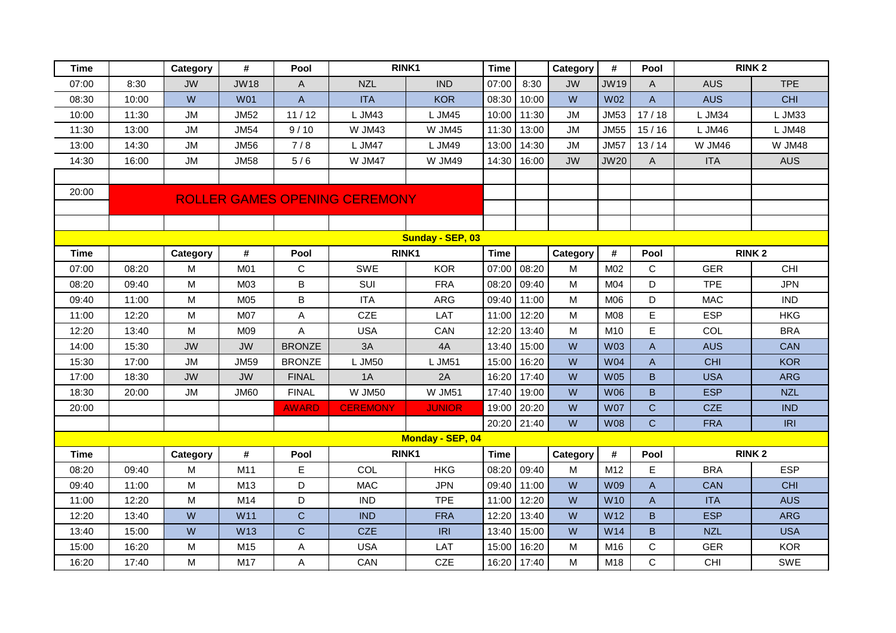| <b>Time</b> |                  | Category  | #           | Pool           |                                      | RINK1            | <b>Time</b> |       | Category  | #               | Pool                      |            | <b>RINK2</b>  |
|-------------|------------------|-----------|-------------|----------------|--------------------------------------|------------------|-------------|-------|-----------|-----------------|---------------------------|------------|---------------|
| 07:00       | 8:30             | <b>JW</b> | <b>JW18</b> | Α              | <b>NZL</b>                           | <b>IND</b>       | 07:00       | 8:30  | <b>JW</b> | <b>JW19</b>     | $\mathsf{A}$              | <b>AUS</b> | <b>TPE</b>    |
| 08:30       | 10:00            | W         | <b>W01</b>  | $\overline{A}$ | <b>ITA</b>                           | <b>KOR</b>       | 08:30       | 10:00 | W         | W <sub>02</sub> | $\overline{A}$            | <b>AUS</b> | <b>CHI</b>    |
| 10:00       | 11:30            | <b>JM</b> | <b>JM52</b> | 11/12          | L JM43                               | L JM45           | 10:00       | 11:30 | <b>JM</b> | <b>JM53</b>     | 17/18                     | L JM34     | L JM33        |
| 11:30       | 13:00            | <b>JM</b> | <b>JM54</b> | 9/10           | <b>W JM43</b>                        | <b>W JM45</b>    | 11:30       | 13:00 | <b>JM</b> | <b>JM55</b>     | 15/16                     | L JM46     | L JM48        |
| 13:00       | 14:30            | <b>JM</b> | <b>JM56</b> | 7/8            | L JM47                               | L JM49           | 13:00       | 14:30 | <b>JM</b> | <b>JM57</b>     | 13/14                     | W JM46     | <b>W JM48</b> |
| 14:30       | 16:00            | <b>JM</b> | <b>JM58</b> | 5/6            | W JM47                               | <b>W JM49</b>    | 14:30       | 16:00 | <b>JW</b> | <b>JW20</b>     | $\overline{A}$            | <b>ITA</b> | <b>AUS</b>    |
|             |                  |           |             |                |                                      |                  |             |       |           |                 |                           |            |               |
| 20:00       |                  |           |             |                | <b>ROLLER GAMES OPENING CEREMONY</b> |                  |             |       |           |                 |                           |            |               |
|             |                  |           |             |                |                                      |                  |             |       |           |                 |                           |            |               |
|             |                  |           |             |                |                                      |                  |             |       |           |                 |                           |            |               |
|             | Sunday - SEP, 03 |           |             |                |                                      |                  |             |       |           |                 |                           |            |               |
| <b>Time</b> |                  | Category  | #           | Pool           |                                      | RINK1            | <b>Time</b> |       | Category  | #               | Pool                      |            | <b>RINK2</b>  |
| 07:00       | 08:20            | M         | M01         | $\mathsf C$    | <b>SWE</b>                           | <b>KOR</b>       | 07:00       | 08:20 | M         | M02             | C                         | <b>GER</b> | CHI           |
| 08:20       | 09:40            | M         | M03         | B              | SUI                                  | <b>FRA</b>       | 08:20       | 09:40 | M         | M <sub>04</sub> | D                         | <b>TPE</b> | <b>JPN</b>    |
| 09:40       | 11:00            | M         | M05         | B              | <b>ITA</b>                           | <b>ARG</b>       | 09:40       | 11:00 | М         | M06             | D                         | <b>MAC</b> | <b>IND</b>    |
| 11:00       | 12:20            | M         | M07         | Α              | <b>CZE</b>                           | LAT              | 11:00       | 12:20 | M         | M08             | E                         | <b>ESP</b> | <b>HKG</b>    |
| 12:20       | 13:40            | M         | M09         | Α              | <b>USA</b>                           | CAN              | 12:20       | 13:40 | M         | M10             | E                         | COL        | <b>BRA</b>    |
| 14:00       | 15:30            | <b>JW</b> | <b>JW</b>   | <b>BRONZE</b>  | 3A                                   | 4A               | 13:40       | 15:00 | W         | <b>W03</b>      | $\mathsf{A}$              | <b>AUS</b> | <b>CAN</b>    |
| 15:30       | 17:00            | <b>JM</b> | <b>JM59</b> | <b>BRONZE</b>  | L JM50                               | L JM51           | 15:00       | 16:20 | W         | <b>W04</b>      | $\boldsymbol{\mathsf{A}}$ | <b>CHI</b> | <b>KOR</b>    |
| 17:00       | 18:30            | <b>JW</b> | <b>JW</b>   | <b>FINAL</b>   | 1A                                   | 2A               | 16:20       | 17:40 | W         | <b>W05</b>      | B                         | <b>USA</b> | <b>ARG</b>    |
| 18:30       | 20:00            | <b>JM</b> | <b>JM60</b> | <b>FINAL</b>   | <b>W JM50</b>                        | <b>W JM51</b>    | 17:40       | 19:00 | W         | <b>W06</b>      | B                         | <b>ESP</b> | <b>NZL</b>    |
| 20:00       |                  |           |             | <b>AWARD</b>   | <b>CEREMONY</b>                      | <b>JUNIOR</b>    | 19:00       | 20:20 | W         | <b>W07</b>      | $\mathsf{C}$              | <b>CZE</b> | <b>IND</b>    |
|             |                  |           |             |                |                                      |                  | 20:20       | 21:40 | W         | <b>W08</b>      | $\mathsf{C}$              | <b>FRA</b> | <b>IRI</b>    |
|             |                  |           |             |                |                                      | Monday - SEP, 04 |             |       |           |                 |                           |            |               |
| <b>Time</b> |                  | Category  | #           | Pool           |                                      | RINK1            | <b>Time</b> |       | Category  | #               | Pool                      |            | <b>RINK2</b>  |
| 08:20       | 09:40            | M         | M11         | E              | COL                                  | <b>HKG</b>       | 08:20       | 09:40 | M         | M12             | E                         | <b>BRA</b> | <b>ESP</b>    |
| 09:40       | 11:00            | M         | M13         | D              | <b>MAC</b>                           | <b>JPN</b>       | 09:40       | 11:00 | W         | <b>W09</b>      | $\mathsf{A}$              | <b>CAN</b> | <b>CHI</b>    |
| 11:00       | 12:20            | M         | M14         | D              | <b>IND</b>                           | <b>TPE</b>       | 11:00       | 12:20 | W         | <b>W10</b>      | $\mathsf{A}$              | <b>ITA</b> | <b>AUS</b>    |
| 12:20       | 13:40            | W         | W11         | $\overline{C}$ | <b>IND</b>                           | <b>FRA</b>       | 12:20       | 13:40 | W         | W <sub>12</sub> | B                         | <b>ESP</b> | <b>ARG</b>    |
| 13:40       | 15:00            | W         | W13         | $\mathsf{C}$   | <b>CZE</b>                           | <b>IRI</b>       | 13:40       | 15:00 | W         | W14             | B                         | <b>NZL</b> | <b>USA</b>    |
| 15:00       | 16:20            | M         | M15         | Α              | <b>USA</b>                           | LAT              | 15:00       | 16:20 | M         | M16             | C                         | <b>GER</b> | <b>KOR</b>    |
| 16:20       | 17:40            | M         | M17         | A              | CAN                                  | <b>CZE</b>       | 16:20       | 17:40 | M         | M18             | $\mathsf{C}$              | <b>CHI</b> | SWE           |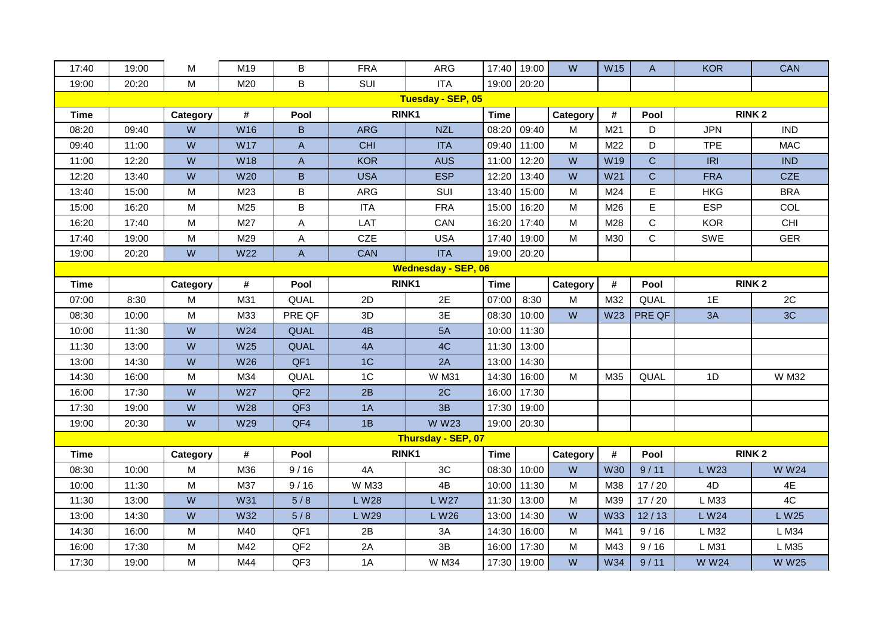| 17:40                      | 19:00 | M                                                                                     | M19        | B               | <b>FRA</b>     | <b>ARG</b>         | 17:40       | 19:00 | W        | <b>W15</b> | A            | <b>KOR</b>   | <b>CAN</b>   |
|----------------------------|-------|---------------------------------------------------------------------------------------|------------|-----------------|----------------|--------------------|-------------|-------|----------|------------|--------------|--------------|--------------|
| 19:00                      | 20:20 | M                                                                                     | M20        | B               | SUI            | <b>ITA</b>         | 19:00       | 20:20 |          |            |              |              |              |
|                            |       |                                                                                       |            |                 |                | Tuesday - SEP, 05  |             |       |          |            |              |              |              |
| Time                       |       | Category                                                                              | #          | Pool            | RINK1          |                    | <b>Time</b> |       | Category | #          | Pool         | <b>RINK2</b> |              |
| 08:20                      | 09:40 | W                                                                                     | W16        | B               | <b>ARG</b>     | <b>NZL</b>         | 08:20       | 09:40 | M        | M21        | D            | <b>JPN</b>   | <b>IND</b>   |
| 09:40                      | 11:00 | W                                                                                     | <b>W17</b> | A               | <b>CHI</b>     | <b>ITA</b>         | 09:40       | 11:00 | M        | M22        | D            | <b>TPE</b>   | <b>MAC</b>   |
| 11:00                      | 12:20 | W                                                                                     | <b>W18</b> | A               | <b>KOR</b>     | <b>AUS</b>         | 11:00       | 12:20 | W        | W19        | $\mathsf{C}$ | IRI          | <b>IND</b>   |
| 12:20                      | 13:40 | W                                                                                     | W20        | B               | <b>USA</b>     | <b>ESP</b>         | 12:20       | 13:40 | W        | W21        | $\mathsf C$  | <b>FRA</b>   | <b>CZE</b>   |
| 13:40                      | 15:00 | M                                                                                     | M23        | B               | ARG            | SUI                | 13:40       | 15:00 | M        | M24        | E            | <b>HKG</b>   | <b>BRA</b>   |
| 15:00                      | 16:20 | M                                                                                     | M25        | B               | <b>ITA</b>     | <b>FRA</b>         | 15:00       | 16:20 | M        | M26        | E            | <b>ESP</b>   | COL          |
| 16:20                      | 17:40 | M                                                                                     | M27        | Α               | LAT            | CAN                | 16:20       | 17:40 | M        | M28        | C            | <b>KOR</b>   | CHI          |
| 17:40                      | 19:00 | M                                                                                     | M29        | А               | <b>CZE</b>     | <b>USA</b>         | 17:40       | 19:00 | M        | M30        | C            | SWE          | <b>GER</b>   |
| 19:00                      | 20:20 | W                                                                                     | W22        | A               | <b>CAN</b>     | <b>ITA</b>         | 19:00       | 20:20 |          |            |              |              |              |
| <b>Wednesday - SEP, 06</b> |       |                                                                                       |            |                 |                |                    |             |       |          |            |              |              |              |
| <b>Time</b>                |       | Category                                                                              | #          | Pool            |                | RINK1              | <b>Time</b> |       | Category | $\pmb{\#}$ | Pool         | <b>RINK2</b> |              |
| 07:00                      | 8:30  | M                                                                                     | M31        | QUAL            | 2D             | 2E                 | 07:00       | 8:30  | M        | M32        | QUAL         | 1E           | 2C           |
| 08:30                      | 10:00 | M                                                                                     | M33        | PRE QF          | 3D             | 3E                 | 08:30       | 10:00 | W        | W23        | PRE QF       | 3A           | 3C           |
| 10:00                      | 11:30 | W                                                                                     | W24        | QUAL            | 4B             | 5A                 | 10:00       | 11:30 |          |            |              |              |              |
| 11:30                      | 13:00 | W                                                                                     | W25        | QUAL            | 4A             | 4C                 | 11:30       | 13:00 |          |            |              |              |              |
| 13:00                      | 14:30 | W                                                                                     | W26        | QF1             | 1 <sup>C</sup> | 2A                 | 13:00       | 14:30 |          |            |              |              |              |
| 14:30                      | 16:00 | M                                                                                     | M34        | QUAL            | 1 <sup>C</sup> | <b>W M31</b>       | 14:30       | 16:00 | M        | M35        | QUAL         | 1D           | W M32        |
| 16:00                      | 17:30 | W                                                                                     | <b>W27</b> | QF <sub>2</sub> | 2B             | 2C                 | 16:00       | 17:30 |          |            |              |              |              |
| 17:30                      | 19:00 | W                                                                                     | <b>W28</b> | QF <sub>3</sub> | 1A             | 3B                 | 17:30       | 19:00 |          |            |              |              |              |
| 19:00                      | 20:30 | W                                                                                     | W29        | QF4             | 1B             | <b>WW23</b>        | 19:00       | 20:30 |          |            |              |              |              |
|                            |       |                                                                                       |            |                 |                | Thursday - SEP, 07 |             |       |          |            |              |              |              |
| <b>Time</b>                |       | Category                                                                              | #          | Pool            | RINK1          |                    | <b>Time</b> |       | Category | $\pmb{\#}$ | Pool         |              | <b>RINK2</b> |
| 08:30                      | 10:00 | M                                                                                     | M36        | 9/16            | 4A             | 3C                 | 08:30       | 10:00 | W        | <b>W30</b> | 9/11         | L W23        | <b>WW24</b>  |
| 10:00                      | 11:30 | M                                                                                     | M37        | 9/16            | W M33          | 4B                 | 10:00       | 11:30 | M        | M38        | 17/20        | 4D           | 4E           |
| 11:30                      | 13:00 | W                                                                                     | W31        | 5/8             | L W28          | L W27              | 11:30       | 13:00 | M        | M39        | 17/20        | L M33        | 4C           |
| 13:00                      | 14:30 | W                                                                                     | W32        | 5/8             | L W29          | L W26              | 13:00       | 14:30 | W        | <b>W33</b> | 12/13        | L W24        | L W25        |
| 14:30                      | 16:00 | M                                                                                     | M40        | QF1             | 2B             | 3A                 | 14:30       | 16:00 | M        | M41        | 9/16         | L M32        | L M34        |
| 16:00                      | 17:30 | $\mathsf{M}% _{T}=\mathsf{M}_{T}\!\left( a,b\right) ,\ \mathsf{M}_{T}=\mathsf{M}_{T}$ | M42        | QF <sub>2</sub> | 2A             | 3B                 | 16:00       | 17:30 | M        | M43        | 9/16         | L M31        | L M35        |
| 17:30                      | 19:00 | M                                                                                     | M44        | QF3             | 1A             | <b>W M34</b>       | 17:30       | 19:00 | W        | <b>W34</b> | 9/11         | <b>WW24</b>  | <b>WW25</b>  |